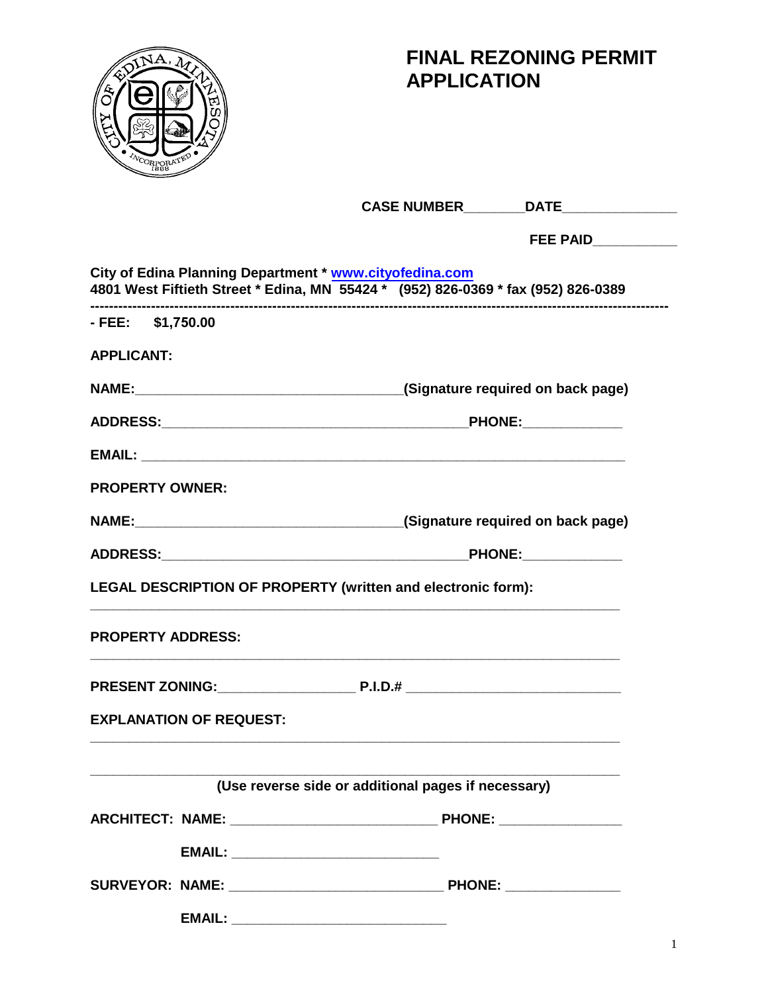

# **FINAL REZONING PERMIT APPLICATION**

|                                                                                                                                              | CASE NUMBER_________DATE________________                                         |  |
|----------------------------------------------------------------------------------------------------------------------------------------------|----------------------------------------------------------------------------------|--|
|                                                                                                                                              | FEE PAID___________                                                              |  |
| City of Edina Planning Department * www.cityofedina.com<br>4801 West Fiftieth Street * Edina, MN 55424 * (952) 826-0369 * fax (952) 826-0389 |                                                                                  |  |
| - FEE: \$1,750.00                                                                                                                            |                                                                                  |  |
| <b>APPLICANT:</b>                                                                                                                            |                                                                                  |  |
|                                                                                                                                              | NAME: MAME: Manual Manual Manual Manual Manual (Signature required on back page) |  |
|                                                                                                                                              |                                                                                  |  |
|                                                                                                                                              |                                                                                  |  |
| <b>PROPERTY OWNER:</b>                                                                                                                       |                                                                                  |  |
|                                                                                                                                              |                                                                                  |  |
|                                                                                                                                              |                                                                                  |  |
| LEGAL DESCRIPTION OF PROPERTY (written and electronic form):                                                                                 |                                                                                  |  |
| <b>PROPERTY ADDRESS:</b>                                                                                                                     |                                                                                  |  |
|                                                                                                                                              |                                                                                  |  |
| <b>EXPLANATION OF REQUEST:</b>                                                                                                               |                                                                                  |  |
|                                                                                                                                              | (Use reverse side or additional pages if necessary)                              |  |
|                                                                                                                                              |                                                                                  |  |
|                                                                                                                                              |                                                                                  |  |
| EMAIL: ___________________________________                                                                                                   |                                                                                  |  |
|                                                                                                                                              |                                                                                  |  |
| <b>EMAIL:</b>                                                                                                                                |                                                                                  |  |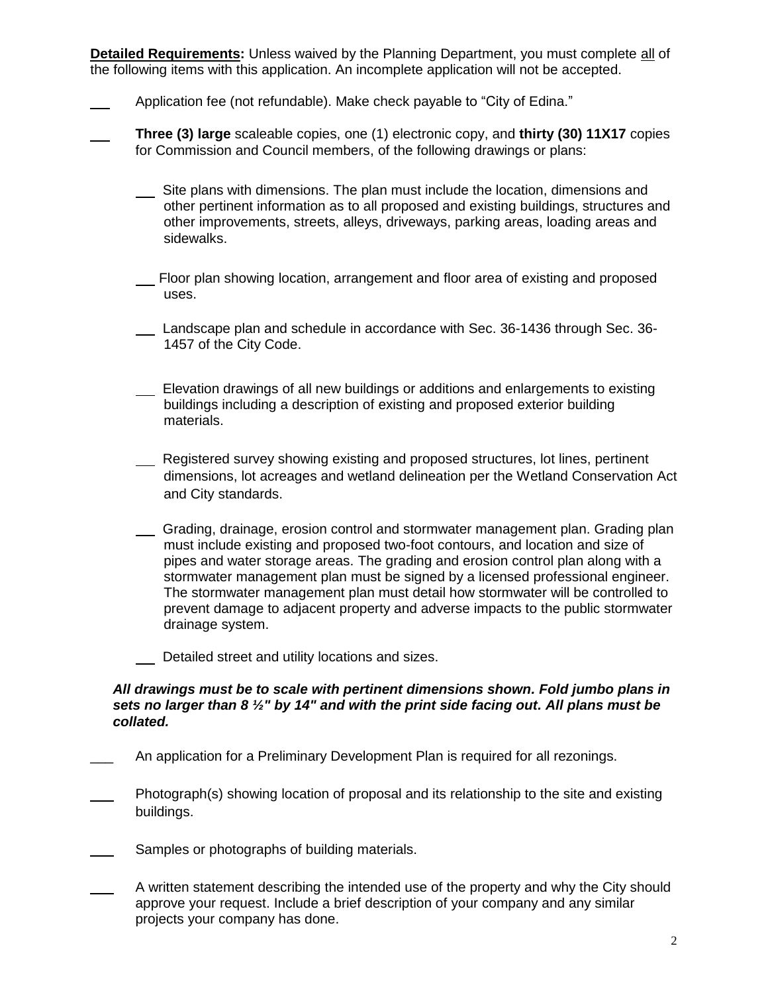**Detailed Requirements:** Unless waived by the Planning Department, you must complete all of the following items with this application. An incomplete application will not be accepted.

- Application fee (not refundable). Make check payable to "City of Edina."
- **Three (3) large** scaleable copies, one (1) electronic copy, and **thirty (30) 11X17** copies for Commission and Council members, of the following drawings or plans:
	- Site plans with dimensions. The plan must include the location, dimensions and other pertinent information as to all proposed and existing buildings, structures and other improvements, streets, alleys, driveways, parking areas, loading areas and sidewalks.
	- Floor plan showing location, arrangement and floor area of existing and proposed uses.
	- Landscape plan and schedule in accordance with Sec. 36-1436 through Sec. 36- 1457 of the City Code.
	- Elevation drawings of all new buildings or additions and enlargements to existing buildings including a description of existing and proposed exterior building materials.
	- Registered survey showing existing and proposed structures, lot lines, pertinent dimensions, lot acreages and wetland delineation per the Wetland Conservation Act and City standards.
	- Grading, drainage, erosion control and stormwater management plan. Grading plan must include existing and proposed two-foot contours, and location and size of pipes and water storage areas. The grading and erosion control plan along with a stormwater management plan must be signed by a licensed professional engineer. The stormwater management plan must detail how stormwater will be controlled to prevent damage to adjacent property and adverse impacts to the public stormwater drainage system.
	- Detailed street and utility locations and sizes.

#### *All drawings must be to scale with pertinent dimensions shown. Fold jumbo plans in sets no larger than 8 ½" by 14" and with the print side facing out. All plans must be collated.*

- An application for a Preliminary Development Plan is required for all rezonings.
- Photograph(s) showing location of proposal and its relationship to the site and existing buildings.
- Samples or photographs of building materials.
- A written statement describing the intended use of the property and why the City should approve your request. Include a brief description of your company and any similar projects your company has done.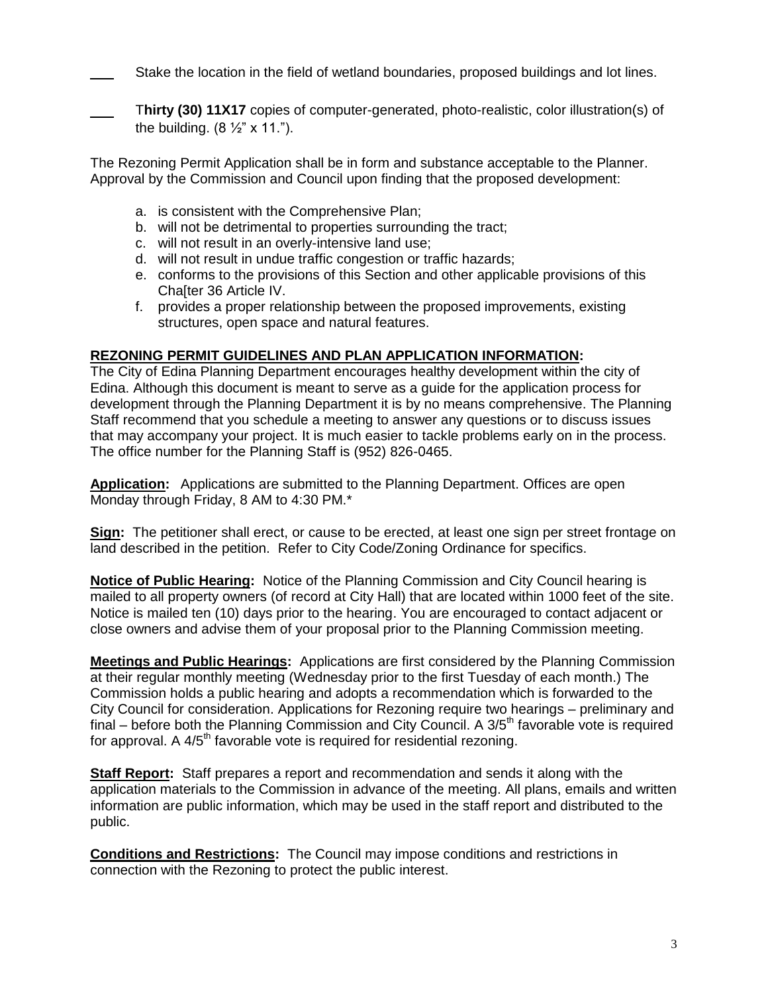Stake the location in the field of wetland boundaries, proposed buildings and lot lines.

 T**hirty (30) 11X17** copies of computer-generated, photo-realistic, color illustration(s) of the building.  $(8 \frac{1}{2} \times 11)^n$ .

The Rezoning Permit Application shall be in form and substance acceptable to the Planner. Approval by the Commission and Council upon finding that the proposed development:

- a. is consistent with the Comprehensive Plan;
- b. will not be detrimental to properties surrounding the tract;
- c. will not result in an overly-intensive land use;
- d. will not result in undue traffic congestion or traffic hazards;
- e. conforms to the provisions of this Section and other applicable provisions of this Cha[ter 36 Article IV.
- f. provides a proper relationship between the proposed improvements, existing structures, open space and natural features.

## **REZONING PERMIT GUIDELINES AND PLAN APPLICATION INFORMATION:**

The City of Edina Planning Department encourages healthy development within the city of Edina. Although this document is meant to serve as a guide for the application process for development through the Planning Department it is by no means comprehensive. The Planning Staff recommend that you schedule a meeting to answer any questions or to discuss issues that may accompany your project. It is much easier to tackle problems early on in the process. The office number for the Planning Staff is (952) 826-0465.

**Application:** Applications are submitted to the Planning Department. Offices are open Monday through Friday, 8 AM to 4:30 PM.\*

**Sign:** The petitioner shall erect, or cause to be erected, at least one sign per street frontage on land described in the petition. Refer to City Code/Zoning Ordinance for specifics.

**Notice of Public Hearing:** Notice of the Planning Commission and City Council hearing is mailed to all property owners (of record at City Hall) that are located within 1000 feet of the site. Notice is mailed ten (10) days prior to the hearing. You are encouraged to contact adjacent or close owners and advise them of your proposal prior to the Planning Commission meeting.

**Meetings and Public Hearings:** Applications are first considered by the Planning Commission at their regular monthly meeting (Wednesday prior to the first Tuesday of each month.) The Commission holds a public hearing and adopts a recommendation which is forwarded to the City Council for consideration. Applications for Rezoning require two hearings – preliminary and final – before both the Planning Commission and City Council. A  $3/5<sup>th</sup>$  favorable vote is required for approval. A  $4/5<sup>th</sup>$  favorable vote is required for residential rezoning.

**Staff Report:** Staff prepares a report and recommendation and sends it along with the application materials to the Commission in advance of the meeting. All plans, emails and written information are public information, which may be used in the staff report and distributed to the public.

**Conditions and Restrictions:** The Council may impose conditions and restrictions in connection with the Rezoning to protect the public interest.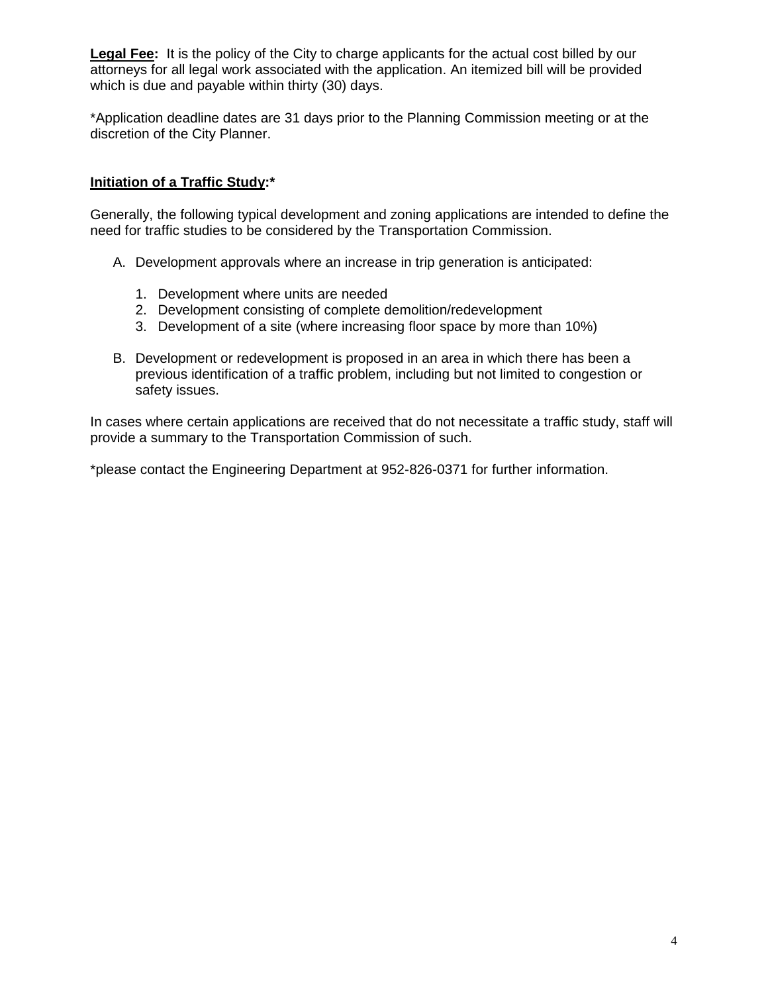**Legal Fee:** It is the policy of the City to charge applicants for the actual cost billed by our attorneys for all legal work associated with the application. An itemized bill will be provided which is due and payable within thirty (30) days.

\*Application deadline dates are 31 days prior to the Planning Commission meeting or at the discretion of the City Planner.

## **Initiation of a Traffic Study:\***

Generally, the following typical development and zoning applications are intended to define the need for traffic studies to be considered by the Transportation Commission.

- A. Development approvals where an increase in trip generation is anticipated:
	- 1. Development where units are needed
	- 2. Development consisting of complete demolition/redevelopment
	- 3. Development of a site (where increasing floor space by more than 10%)
- B. Development or redevelopment is proposed in an area in which there has been a previous identification of a traffic problem, including but not limited to congestion or safety issues.

In cases where certain applications are received that do not necessitate a traffic study, staff will provide a summary to the Transportation Commission of such.

\*please contact the Engineering Department at 952-826-0371 for further information.